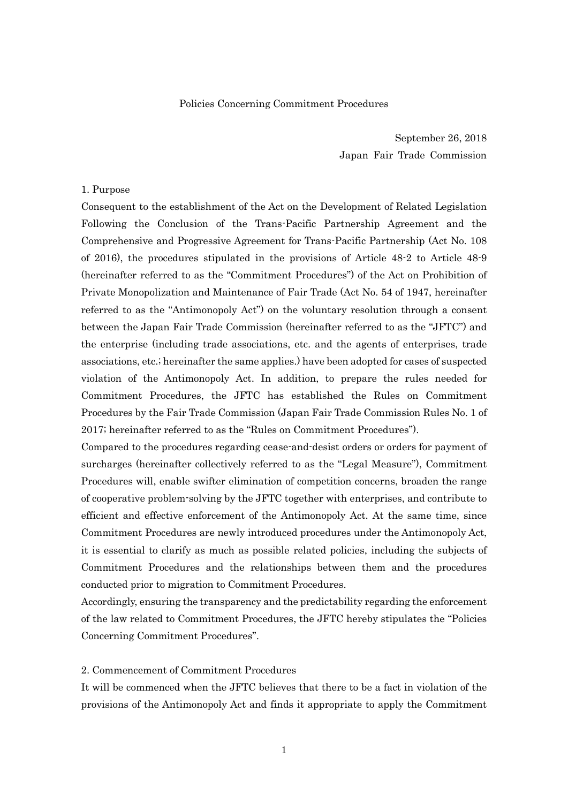### Policies Concerning Commitment Procedures

September 26, 2018 Japan Fair Trade Commission

### 1. Purpose

Consequent to the establishment of the Act on the Development of Related Legislation Following the Conclusion of the Trans-Pacific Partnership Agreement and the Comprehensive and Progressive Agreement for Trans-Pacific Partnership (Act No. 108 of 2016), the procedures stipulated in the provisions of Article 48-2 to Article 48-9 (hereinafter referred to as the "Commitment Procedures") of the Act on Prohibition of Private Monopolization and Maintenance of Fair Trade (Act No. 54 of 1947, hereinafter referred to as the "Antimonopoly Act") on the voluntary resolution through a consent between the Japan Fair Trade Commission (hereinafter referred to as the "JFTC") and the enterprise (including trade associations, etc. and the agents of enterprises, trade associations, etc.; hereinafter the same applies.) have been adopted for cases of suspected violation of the Antimonopoly Act. In addition, to prepare the rules needed for Commitment Procedures, the JFTC has established the Rules on Commitment Procedures by the Fair Trade Commission (Japan Fair Trade Commission Rules No. 1 of 2017; hereinafter referred to as the "Rules on Commitment Procedures").

Compared to the procedures regarding cease-and-desist orders or orders for payment of surcharges (hereinafter collectively referred to as the "Legal Measure"), Commitment Procedures will, enable swifter elimination of competition concerns, broaden the range of cooperative problem-solving by the JFTC together with enterprises, and contribute to efficient and effective enforcement of the Antimonopoly Act. At the same time, since Commitment Procedures are newly introduced procedures under the Antimonopoly Act, it is essential to clarify as much as possible related policies, including the subjects of Commitment Procedures and the relationships between them and the procedures conducted prior to migration to Commitment Procedures.

Accordingly, ensuring the transparency and the predictability regarding the enforcement of the law related to Commitment Procedures, the JFTC hereby stipulates the "Policies Concerning Commitment Procedures".

### 2. Commencement of Commitment Procedures

It will be commenced when the JFTC believes that there to be a fact in violation of the provisions of the Antimonopoly Act and finds it appropriate to apply the Commitment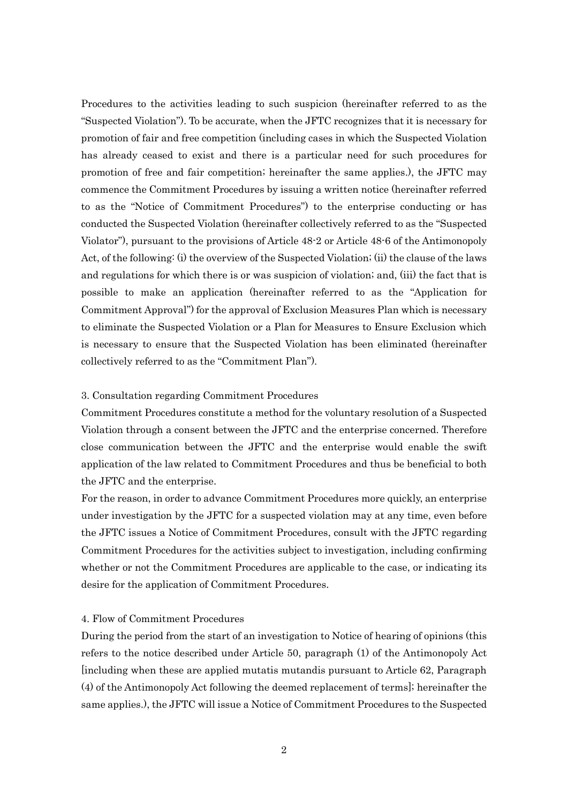Procedures to the activities leading to such suspicion (hereinafter referred to as the "Suspected Violation"). To be accurate, when the JFTC recognizes that it is necessary for promotion of fair and free competition (including cases in which the Suspected Violation has already ceased to exist and there is a particular need for such procedures for promotion of free and fair competition; hereinafter the same applies.), the JFTC may commence the Commitment Procedures by issuing a written notice (hereinafter referred to as the "Notice of Commitment Procedures") to the enterprise conducting or has conducted the Suspected Violation (hereinafter collectively referred to as the "Suspected Violator"), pursuant to the provisions of Article 48-2 or Article 48-6 of the Antimonopoly Act, of the following: (i) the overview of the Suspected Violation; (ii) the clause of the laws and regulations for which there is or was suspicion of violation; and, (iii) the fact that is possible to make an application (hereinafter referred to as the "Application for Commitment Approval") for the approval of Exclusion Measures Plan which is necessary to eliminate the Suspected Violation or a Plan for Measures to Ensure Exclusion which is necessary to ensure that the Suspected Violation has been eliminated (hereinafter collectively referred to as the "Commitment Plan").

### 3. Consultation regarding Commitment Procedures

Commitment Procedures constitute a method for the voluntary resolution of a Suspected Violation through a consent between the JFTC and the enterprise concerned. Therefore close communication between the JFTC and the enterprise would enable the swift application of the law related to Commitment Procedures and thus be beneficial to both the JFTC and the enterprise.

For the reason, in order to advance Commitment Procedures more quickly, an enterprise under investigation by the JFTC for a suspected violation may at any time, even before the JFTC issues a Notice of Commitment Procedures, consult with the JFTC regarding Commitment Procedures for the activities subject to investigation, including confirming whether or not the Commitment Procedures are applicable to the case, or indicating its desire for the application of Commitment Procedures.

#### 4. Flow of Commitment Procedures

During the period from the start of an investigation to Notice of hearing of opinions (this refers to the notice described under Article 50, paragraph (1) of the Antimonopoly Act [including when these are applied mutatis mutandis pursuant to Article 62, Paragraph (4) of the Antimonopoly Act following the deemed replacement of terms]; hereinafter the same applies.), the JFTC will issue a Notice of Commitment Procedures to the Suspected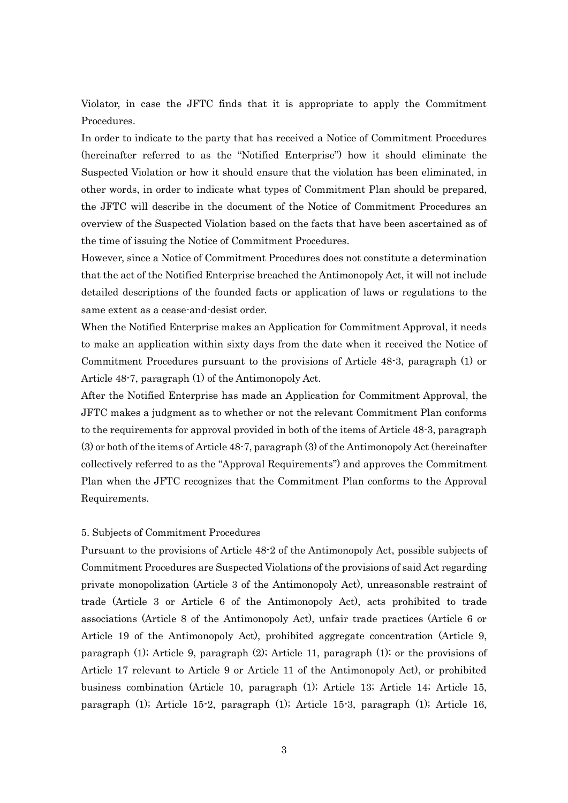Violator, in case the JFTC finds that it is appropriate to apply the Commitment Procedures.

In order to indicate to the party that has received a Notice of Commitment Procedures (hereinafter referred to as the "Notified Enterprise") how it should eliminate the Suspected Violation or how it should ensure that the violation has been eliminated, in other words, in order to indicate what types of Commitment Plan should be prepared, the JFTC will describe in the document of the Notice of Commitment Procedures an overview of the Suspected Violation based on the facts that have been ascertained as of the time of issuing the Notice of Commitment Procedures.

However, since a Notice of Commitment Procedures does not constitute a determination that the act of the Notified Enterprise breached the Antimonopoly Act, it will not include detailed descriptions of the founded facts or application of laws or regulations to the same extent as a cease-and-desist order.

When the Notified Enterprise makes an Application for Commitment Approval, it needs to make an application within sixty days from the date when it received the Notice of Commitment Procedures pursuant to the provisions of Article 48-3, paragraph (1) or Article 48-7, paragraph (1) of the Antimonopoly Act.

After the Notified Enterprise has made an Application for Commitment Approval, the JFTC makes a judgment as to whether or not the relevant Commitment Plan conforms to the requirements for approval provided in both of the items of Article 48-3, paragraph (3) or both of the items of Article 48-7, paragraph (3) of the Antimonopoly Act (hereinafter collectively referred to as the "Approval Requirements") and approves the Commitment Plan when the JFTC recognizes that the Commitment Plan conforms to the Approval Requirements.

### 5. Subjects of Commitment Procedures

Pursuant to the provisions of Article 48-2 of the Antimonopoly Act, possible subjects of Commitment Procedures are Suspected Violations of the provisions of said Act regarding private monopolization (Article 3 of the Antimonopoly Act), unreasonable restraint of trade (Article 3 or Article 6 of the Antimonopoly Act), acts prohibited to trade associations (Article 8 of the Antimonopoly Act), unfair trade practices (Article 6 or Article 19 of the Antimonopoly Act), prohibited aggregate concentration (Article 9, paragraph (1); Article 9, paragraph (2); Article 11, paragraph (1); or the provisions of Article 17 relevant to Article 9 or Article 11 of the Antimonopoly Act), or prohibited business combination (Article 10, paragraph (1); Article 13; Article 14; Article 15, paragraph (1); Article 15-2, paragraph (1); Article 15-3, paragraph (1); Article 16,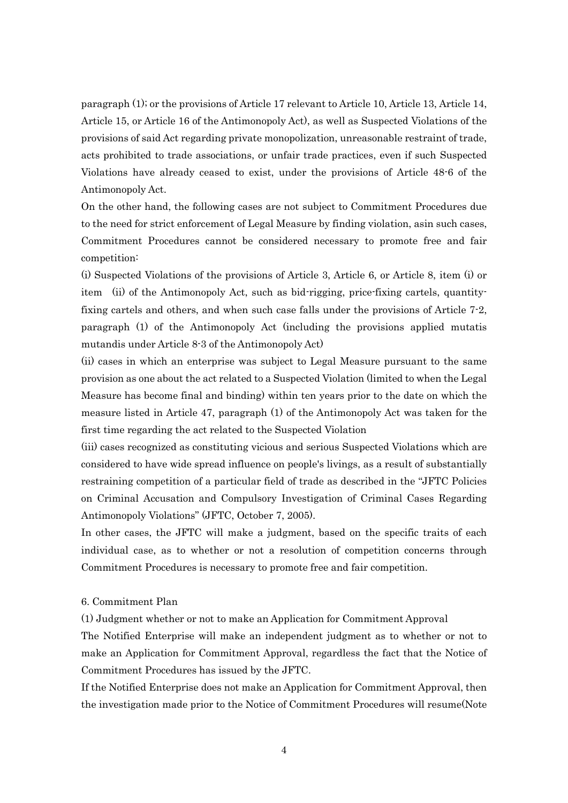paragraph (1); or the provisions of Article 17 relevant to Article 10, Article 13, Article 14, Article 15, or Article 16 of the Antimonopoly Act), as well as Suspected Violations of the provisions of said Act regarding private monopolization, unreasonable restraint of trade, acts prohibited to trade associations, or unfair trade practices, even if such Suspected Violations have already ceased to exist, under the provisions of Article 48-6 of the Antimonopoly Act.

On the other hand, the following cases are not subject to Commitment Procedures due to the need for strict enforcement of Legal Measure by finding violation, asin such cases, Commitment Procedures cannot be considered necessary to promote free and fair competition:

(i) Suspected Violations of the provisions of Article 3, Article 6, or Article 8, item (i) or item (ii) of the Antimonopoly Act, such as bid-rigging, price-fixing cartels, quantityfixing cartels and others, and when such case falls under the provisions of Article 7-2, paragraph (1) of the Antimonopoly Act (including the provisions applied mutatis mutandis under Article 8-3 of the Antimonopoly Act)

(ii) cases in which an enterprise was subject to Legal Measure pursuant to the same provision as one about the act related to a Suspected Violation (limited to when the Legal Measure has become final and binding) within ten years prior to the date on which the measure listed in Article 47, paragraph (1) of the Antimonopoly Act was taken for the first time regarding the act related to the Suspected Violation

(iii) cases recognized as constituting vicious and serious Suspected Violations which are considered to have wide spread influence on people's livings, as a result of substantially restraining competition of a particular field of trade as described in the "JFTC Policies on Criminal Accusation and Compulsory Investigation of Criminal Cases Regarding Antimonopoly Violations" (JFTC, October 7, 2005).

In other cases, the JFTC will make a judgment, based on the specific traits of each individual case, as to whether or not a resolution of competition concerns through Commitment Procedures is necessary to promote free and fair competition.

6. Commitment Plan

(1) Judgment whether or not to make an Application for Commitment Approval

The Notified Enterprise will make an independent judgment as to whether or not to make an Application for Commitment Approval, regardless the fact that the Notice of Commitment Procedures has issued by the JFTC.

If the Notified Enterprise does not make an Application for Commitment Approval, then the investigation made prior to the Notice of Commitment Procedures will resume(Note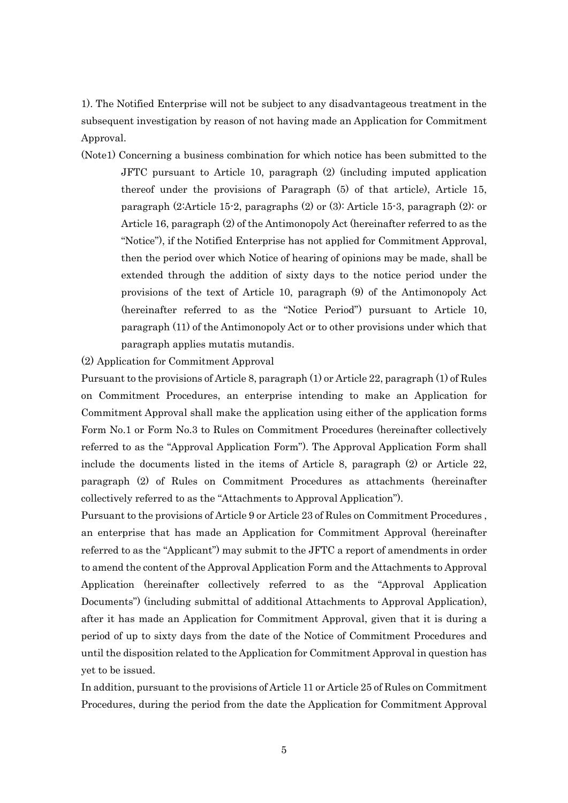1). The Notified Enterprise will not be subject to any disadvantageous treatment in the subsequent investigation by reason of not having made an Application for Commitment Approval.

- (Note1) Concerning a business combination for which notice has been submitted to the JFTC pursuant to Article 10, paragraph (2) (including imputed application thereof under the provisions of Paragraph (5) of that article), Article 15, paragraph (2:Article 15-2, paragraphs (2) or (3): Article 15-3, paragraph (2): or Article 16, paragraph (2) of the Antimonopoly Act (hereinafter referred to as the "Notice"), if the Notified Enterprise has not applied for Commitment Approval, then the period over which Notice of hearing of opinions may be made, shall be extended through the addition of sixty days to the notice period under the provisions of the text of Article 10, paragraph (9) of the Antimonopoly Act (hereinafter referred to as the "Notice Period") pursuant to Article 10, paragraph (11) of the Antimonopoly Act or to other provisions under which that paragraph applies mutatis mutandis.
- (2) Application for Commitment Approval

Pursuant to the provisions of Article 8, paragraph (1) or Article 22, paragraph (1) of Rules on Commitment Procedures, an enterprise intending to make an Application for Commitment Approval shall make the application using either of the application forms Form No.1 or Form No.3 to Rules on Commitment Procedures (hereinafter collectively referred to as the "Approval Application Form"). The Approval Application Form shall include the documents listed in the items of Article 8, paragraph (2) or Article 22, paragraph (2) of Rules on Commitment Procedures as attachments (hereinafter collectively referred to as the "Attachments to Approval Application").

Pursuant to the provisions of Article 9 or Article 23 of Rules on Commitment Procedures , an enterprise that has made an Application for Commitment Approval (hereinafter referred to as the "Applicant") may submit to the JFTC a report of amendments in order to amend the content of the Approval Application Form and the Attachments to Approval Application (hereinafter collectively referred to as the "Approval Application Documents") (including submittal of additional Attachments to Approval Application), after it has made an Application for Commitment Approval, given that it is during a period of up to sixty days from the date of the Notice of Commitment Procedures and until the disposition related to the Application for Commitment Approval in question has yet to be issued.

In addition, pursuant to the provisions of Article 11 or Article 25 of Rules on Commitment Procedures, during the period from the date the Application for Commitment Approval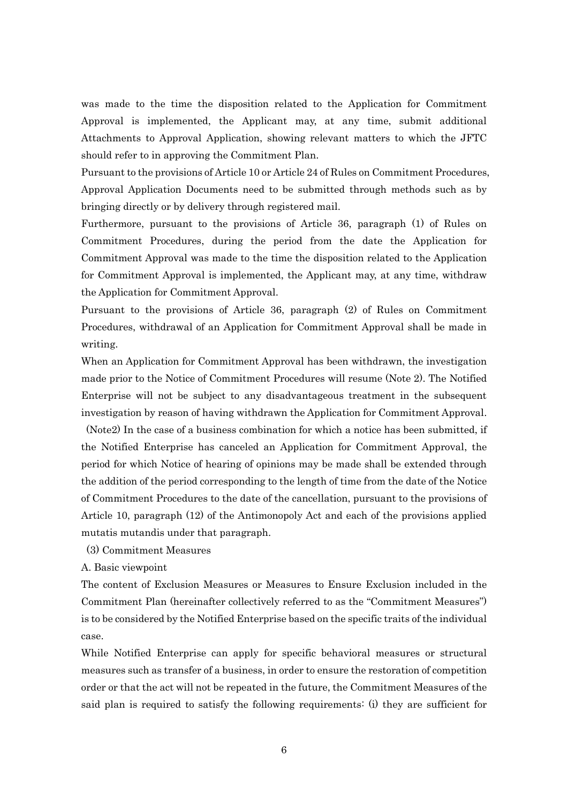was made to the time the disposition related to the Application for Commitment Approval is implemented, the Applicant may, at any time, submit additional Attachments to Approval Application, showing relevant matters to which the JFTC should refer to in approving the Commitment Plan.

Pursuant to the provisions of Article 10 or Article 24 of Rules on Commitment Procedures, Approval Application Documents need to be submitted through methods such as by bringing directly or by delivery through registered mail.

Furthermore, pursuant to the provisions of Article 36, paragraph (1) of Rules on Commitment Procedures, during the period from the date the Application for Commitment Approval was made to the time the disposition related to the Application for Commitment Approval is implemented, the Applicant may, at any time, withdraw the Application for Commitment Approval.

Pursuant to the provisions of Article 36, paragraph (2) of Rules on Commitment Procedures, withdrawal of an Application for Commitment Approval shall be made in writing.

When an Application for Commitment Approval has been withdrawn, the investigation made prior to the Notice of Commitment Procedures will resume (Note 2). The Notified Enterprise will not be subject to any disadvantageous treatment in the subsequent investigation by reason of having withdrawn the Application for Commitment Approval.

(Note2) In the case of a business combination for which a notice has been submitted, if the Notified Enterprise has canceled an Application for Commitment Approval, the period for which Notice of hearing of opinions may be made shall be extended through the addition of the period corresponding to the length of time from the date of the Notice of Commitment Procedures to the date of the cancellation, pursuant to the provisions of Article 10, paragraph (12) of the Antimonopoly Act and each of the provisions applied mutatis mutandis under that paragraph.

(3) Commitment Measures

A. Basic viewpoint

The content of Exclusion Measures or Measures to Ensure Exclusion included in the Commitment Plan (hereinafter collectively referred to as the "Commitment Measures") is to be considered by the Notified Enterprise based on the specific traits of the individual case.

While Notified Enterprise can apply for specific behavioral measures or structural measures such as transfer of a business, in order to ensure the restoration of competition order or that the act will not be repeated in the future, the Commitment Measures of the said plan is required to satisfy the following requirements: (i) they are sufficient for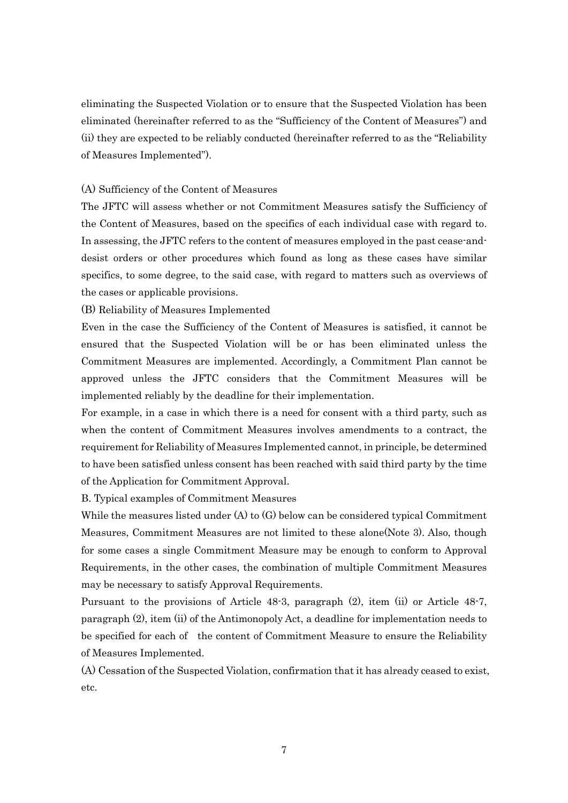eliminating the Suspected Violation or to ensure that the Suspected Violation has been eliminated (hereinafter referred to as the "Sufficiency of the Content of Measures") and (ii) they are expected to be reliably conducted (hereinafter referred to as the "Reliability of Measures Implemented").

## (A) Sufficiency of the Content of Measures

The JFTC will assess whether or not Commitment Measures satisfy the Sufficiency of the Content of Measures, based on the specifics of each individual case with regard to. In assessing, the JFTC refers to the content of measures employed in the past cease-anddesist orders or other procedures which found as long as these cases have similar specifics, to some degree, to the said case, with regard to matters such as overviews of the cases or applicable provisions.

(B) Reliability of Measures Implemented

Even in the case the Sufficiency of the Content of Measures is satisfied, it cannot be ensured that the Suspected Violation will be or has been eliminated unless the Commitment Measures are implemented. Accordingly, a Commitment Plan cannot be approved unless the JFTC considers that the Commitment Measures will be implemented reliably by the deadline for their implementation.

For example, in a case in which there is a need for consent with a third party, such as when the content of Commitment Measures involves amendments to a contract, the requirement for Reliability of Measures Implemented cannot, in principle, be determined to have been satisfied unless consent has been reached with said third party by the time of the Application for Commitment Approval.

B. Typical examples of Commitment Measures

While the measures listed under  $(A)$  to  $(G)$  below can be considered typical Commitment Measures, Commitment Measures are not limited to these alone(Note 3). Also, though for some cases a single Commitment Measure may be enough to conform to Approval Requirements, in the other cases, the combination of multiple Commitment Measures may be necessary to satisfy Approval Requirements.

Pursuant to the provisions of Article 48-3, paragraph (2), item (ii) or Article 48-7, paragraph (2), item (ii) of the Antimonopoly Act, a deadline for implementation needs to be specified for each of the content of Commitment Measure to ensure the Reliability of Measures Implemented.

(A) Cessation of the Suspected Violation, confirmation that it has already ceased to exist, etc.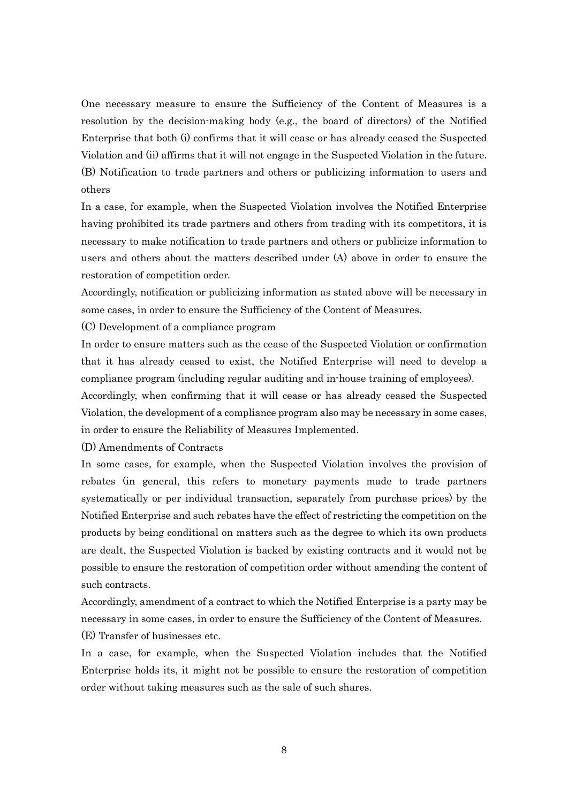One necessary measure to ensure the Sufficiency of the Content of Measures is a resolution by the decision-making body (e.g., the board of directors) of the Notified Enterprise that both (i) confirms that it will cease or has already ceased the Suspected Violation and (ii) affirms that it will not engage in the Suspected Violation in the future. (B) Notification to trade partners and others or publicizing information to users and others

In a case, for example, when the Suspected Violation involves the Notified Enterprise having prohibited its trade partners and others from trading with its competitors, it is necessary to make notification to trade partners and others or publicize information to users and others about the matters described under (A) above in order to ensure the restoration of competition order.

Accordingly, notification or publicizing information as stated above will be necessary in some cases, in order to ensure the Sufficiency of the Content of Measures.

(C) Development of a compliance program

In order to ensure matters such as the cease of the Suspected Violation or confirmation that it has already ceased to exist, the Notified Enterprise will need to develop a compliance program (including regular auditing and in-house training of employees).

Accordingly, when confirming that it will cease or has already ceased the Suspected Violation, the development of a compliance program also may be necessary in some cases, in order to ensure the Reliability of Measures Implemented.

(D) Amendments of Contracts

In some cases, for example, when the Suspected Violation involves the provision of rebates (in general, this refers to monetary payments made to trade partners systematically or per individual transaction, separately from purchase prices) by the Notified Enterprise and such rebates have the effect of restricting the competition on the products by being conditional on matters such as the degree to which its own products are dealt, the Suspected Violation is backed by existing contracts and it would not be possible to ensure the restoration of competition order without amending the content of such contracts.

Accordingly, amendment of a contract to which the Notified Enterprise is a party may be necessary in some cases, in order to ensure the Sufficiency of the Content of Measures. (E) Transfer of businesses etc.

In a case, for example, when the Suspected Violation includes that the Notified Enterprise holds its, it might not be possible to ensure the restoration of competition order without taking measures such as the sale of such shares.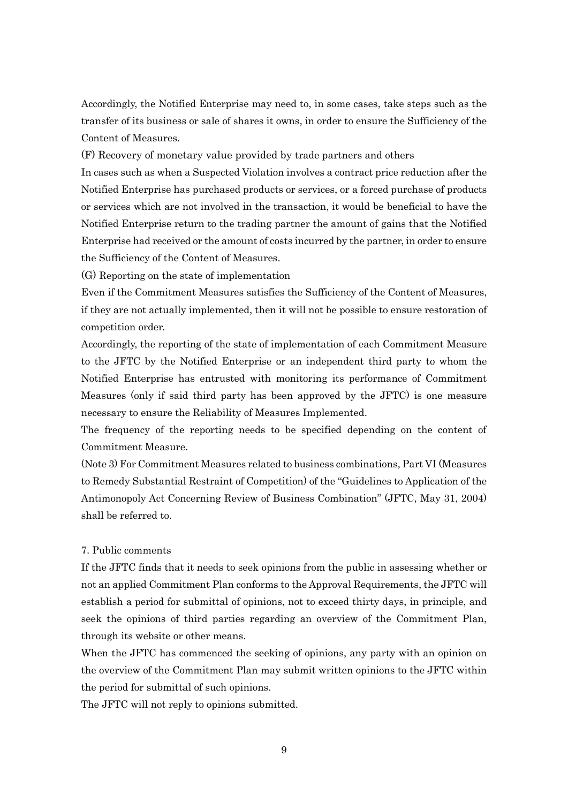Accordingly, the Notified Enterprise may need to, in some cases, take steps such as the transfer of its business or sale of shares it owns, in order to ensure the Sufficiency of the Content of Measures.

(F) Recovery of monetary value provided by trade partners and others

In cases such as when a Suspected Violation involves a contract price reduction after the Notified Enterprise has purchased products or services, or a forced purchase of products or services which are not involved in the transaction, it would be beneficial to have the Notified Enterprise return to the trading partner the amount of gains that the Notified Enterprise had received or the amount of costs incurred by the partner, in order to ensure the Sufficiency of the Content of Measures.

(G) Reporting on the state of implementation

Even if the Commitment Measures satisfies the Sufficiency of the Content of Measures, if they are not actually implemented, then it will not be possible to ensure restoration of competition order.

Accordingly, the reporting of the state of implementation of each Commitment Measure to the JFTC by the Notified Enterprise or an independent third party to whom the Notified Enterprise has entrusted with monitoring its performance of Commitment Measures (only if said third party has been approved by the JFTC) is one measure necessary to ensure the Reliability of Measures Implemented.

The frequency of the reporting needs to be specified depending on the content of Commitment Measure.

(Note 3) For Commitment Measures related to business combinations, Part VI (Measures to Remedy Substantial Restraint of Competition) of the "Guidelines to Application of the Antimonopoly Act Concerning Review of Business Combination" (JFTC, May 31, 2004) shall be referred to.

# 7. Public comments

If the JFTC finds that it needs to seek opinions from the public in assessing whether or not an applied Commitment Plan conforms to the Approval Requirements, the JFTC will establish a period for submittal of opinions, not to exceed thirty days, in principle, and seek the opinions of third parties regarding an overview of the Commitment Plan, through its website or other means.

When the JFTC has commenced the seeking of opinions, any party with an opinion on the overview of the Commitment Plan may submit written opinions to the JFTC within the period for submittal of such opinions.

The JFTC will not reply to opinions submitted.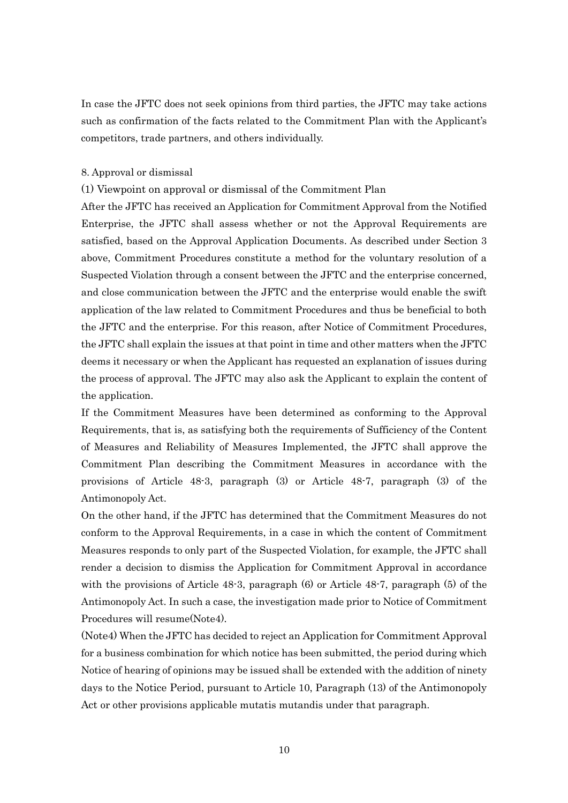In case the JFTC does not seek opinions from third parties, the JFTC may take actions such as confirmation of the facts related to the Commitment Plan with the Applicant's competitors, trade partners, and others individually.

## 8. Approval or dismissal

(1) Viewpoint on approval or dismissal of the Commitment Plan

After the JFTC has received an Application for Commitment Approval from the Notified Enterprise, the JFTC shall assess whether or not the Approval Requirements are satisfied, based on the Approval Application Documents. As described under Section 3 above, Commitment Procedures constitute a method for the voluntary resolution of a Suspected Violation through a consent between the JFTC and the enterprise concerned, and close communication between the JFTC and the enterprise would enable the swift application of the law related to Commitment Procedures and thus be beneficial to both the JFTC and the enterprise. For this reason, after Notice of Commitment Procedures, the JFTC shall explain the issues at that point in time and other matters when the JFTC deems it necessary or when the Applicant has requested an explanation of issues during the process of approval. The JFTC may also ask the Applicant to explain the content of the application.

If the Commitment Measures have been determined as conforming to the Approval Requirements, that is, as satisfying both the requirements of Sufficiency of the Content of Measures and Reliability of Measures Implemented, the JFTC shall approve the Commitment Plan describing the Commitment Measures in accordance with the provisions of Article 48-3, paragraph (3) or Article 48-7, paragraph (3) of the Antimonopoly Act.

On the other hand, if the JFTC has determined that the Commitment Measures do not conform to the Approval Requirements, in a case in which the content of Commitment Measures responds to only part of the Suspected Violation, for example, the JFTC shall render a decision to dismiss the Application for Commitment Approval in accordance with the provisions of Article 48-3, paragraph (6) or Article 48-7, paragraph (5) of the Antimonopoly Act. In such a case, the investigation made prior to Notice of Commitment Procedures will resume(Note4).

(Note4) When the JFTC has decided to reject an Application for Commitment Approval for a business combination for which notice has been submitted, the period during which Notice of hearing of opinions may be issued shall be extended with the addition of ninety days to the Notice Period, pursuant to Article 10, Paragraph (13) of the Antimonopoly Act or other provisions applicable mutatis mutandis under that paragraph.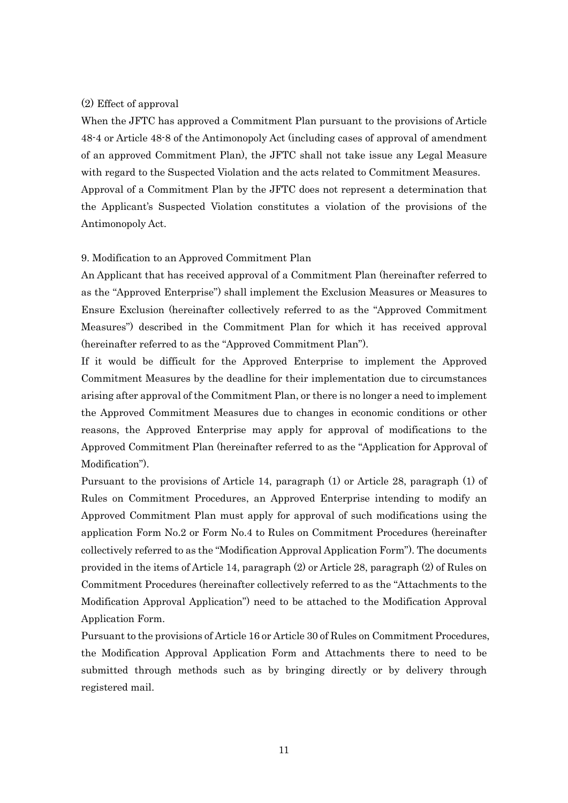# (2) Effect of approval

When the JFTC has approved a Commitment Plan pursuant to the provisions of Article 48-4 or Article 48-8 of the Antimonopoly Act (including cases of approval of amendment of an approved Commitment Plan), the JFTC shall not take issue any Legal Measure with regard to the Suspected Violation and the acts related to Commitment Measures. Approval of a Commitment Plan by the JFTC does not represent a determination that the Applicant's Suspected Violation constitutes a violation of the provisions of the Antimonopoly Act.

## 9. Modification to an Approved Commitment Plan

An Applicant that has received approval of a Commitment Plan (hereinafter referred to as the "Approved Enterprise") shall implement the Exclusion Measures or Measures to Ensure Exclusion (hereinafter collectively referred to as the "Approved Commitment Measures") described in the Commitment Plan for which it has received approval (hereinafter referred to as the "Approved Commitment Plan").

If it would be difficult for the Approved Enterprise to implement the Approved Commitment Measures by the deadline for their implementation due to circumstances arising after approval of the Commitment Plan, or there is no longer a need to implement the Approved Commitment Measures due to changes in economic conditions or other reasons, the Approved Enterprise may apply for approval of modifications to the Approved Commitment Plan (hereinafter referred to as the "Application for Approval of Modification").

Pursuant to the provisions of Article 14, paragraph (1) or Article 28, paragraph (1) of Rules on Commitment Procedures, an Approved Enterprise intending to modify an Approved Commitment Plan must apply for approval of such modifications using the application Form No.2 or Form No.4 to Rules on Commitment Procedures (hereinafter collectively referred to as the "Modification Approval Application Form"). The documents provided in the items of Article 14, paragraph (2) or Article 28, paragraph (2) of Rules on Commitment Procedures (hereinafter collectively referred to as the "Attachments to the Modification Approval Application") need to be attached to the Modification Approval Application Form.

Pursuant to the provisions of Article 16 or Article 30 of Rules on Commitment Procedures, the Modification Approval Application Form and Attachments there to need to be submitted through methods such as by bringing directly or by delivery through registered mail.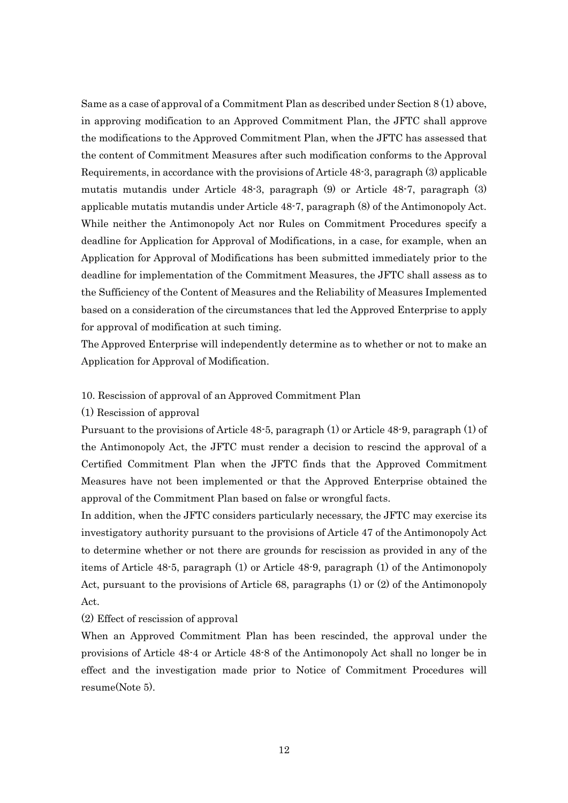Same as a case of approval of a Commitment Plan as described under Section 8 (1) above, in approving modification to an Approved Commitment Plan, the JFTC shall approve the modifications to the Approved Commitment Plan, when the JFTC has assessed that the content of Commitment Measures after such modification conforms to the Approval Requirements, in accordance with the provisions of Article 48-3, paragraph (3) applicable mutatis mutandis under Article 48-3, paragraph (9) or Article 48-7, paragraph (3) applicable mutatis mutandis under Article 48-7, paragraph (8) of the Antimonopoly Act. While neither the Antimonopoly Act nor Rules on Commitment Procedures specify a deadline for Application for Approval of Modifications, in a case, for example, when an Application for Approval of Modifications has been submitted immediately prior to the deadline for implementation of the Commitment Measures, the JFTC shall assess as to the Sufficiency of the Content of Measures and the Reliability of Measures Implemented based on a consideration of the circumstances that led the Approved Enterprise to apply for approval of modification at such timing.

The Approved Enterprise will independently determine as to whether or not to make an Application for Approval of Modification.

### 10. Rescission of approval of an Approved Commitment Plan

### (1) Rescission of approval

Pursuant to the provisions of Article 48-5, paragraph (1) or Article 48-9, paragraph (1) of the Antimonopoly Act, the JFTC must render a decision to rescind the approval of a Certified Commitment Plan when the JFTC finds that the Approved Commitment Measures have not been implemented or that the Approved Enterprise obtained the approval of the Commitment Plan based on false or wrongful facts.

In addition, when the JFTC considers particularly necessary, the JFTC may exercise its investigatory authority pursuant to the provisions of Article 47 of the Antimonopoly Act to determine whether or not there are grounds for rescission as provided in any of the items of Article 48-5, paragraph (1) or Article 48-9, paragraph (1) of the Antimonopoly Act, pursuant to the provisions of Article 68, paragraphs (1) or (2) of the Antimonopoly Act.

(2) Effect of rescission of approval

When an Approved Commitment Plan has been rescinded, the approval under the provisions of Article 48-4 or Article 48-8 of the Antimonopoly Act shall no longer be in effect and the investigation made prior to Notice of Commitment Procedures will resume(Note 5).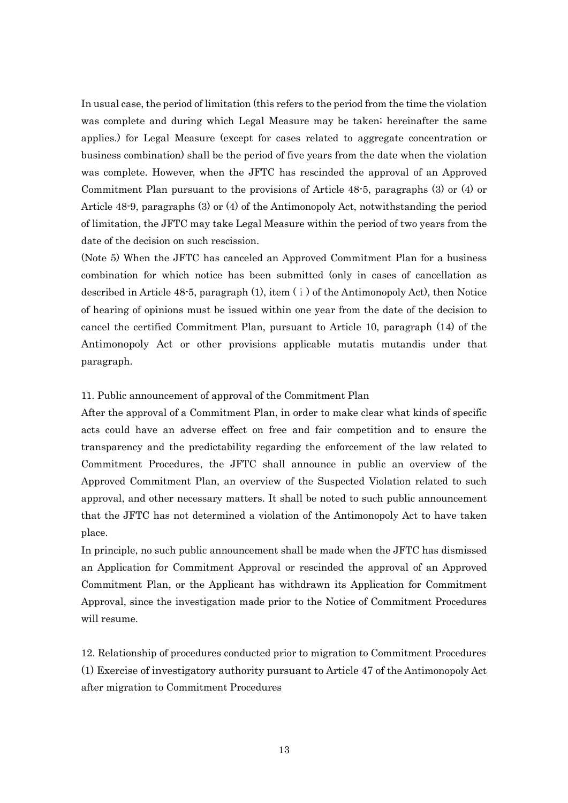In usual case, the period of limitation (this refers to the period from the time the violation was complete and during which Legal Measure may be taken; hereinafter the same applies.) for Legal Measure (except for cases related to aggregate concentration or business combination) shall be the period of five years from the date when the violation was complete. However, when the JFTC has rescinded the approval of an Approved Commitment Plan pursuant to the provisions of Article 48-5, paragraphs (3) or (4) or Article 48-9, paragraphs (3) or (4) of the Antimonopoly Act, notwithstanding the period of limitation, the JFTC may take Legal Measure within the period of two years from the date of the decision on such rescission.

(Note 5) When the JFTC has canceled an Approved Commitment Plan for a business combination for which notice has been submitted (only in cases of cancellation as described in Article  $48-5$ , paragraph  $(1)$ , item  $(1)$  of the Antimonopoly Act), then Notice of hearing of opinions must be issued within one year from the date of the decision to cancel the certified Commitment Plan, pursuant to Article 10, paragraph (14) of the Antimonopoly Act or other provisions applicable mutatis mutandis under that paragraph.

# 11. Public announcement of approval of the Commitment Plan

After the approval of a Commitment Plan, in order to make clear what kinds of specific acts could have an adverse effect on free and fair competition and to ensure the transparency and the predictability regarding the enforcement of the law related to Commitment Procedures, the JFTC shall announce in public an overview of the Approved Commitment Plan, an overview of the Suspected Violation related to such approval, and other necessary matters. It shall be noted to such public announcement that the JFTC has not determined a violation of the Antimonopoly Act to have taken place.

In principle, no such public announcement shall be made when the JFTC has dismissed an Application for Commitment Approval or rescinded the approval of an Approved Commitment Plan, or the Applicant has withdrawn its Application for Commitment Approval, since the investigation made prior to the Notice of Commitment Procedures will resume.

12. Relationship of procedures conducted prior to migration to Commitment Procedures (1) Exercise of investigatory authority pursuant to Article 47 of the Antimonopoly Act after migration to Commitment Procedures